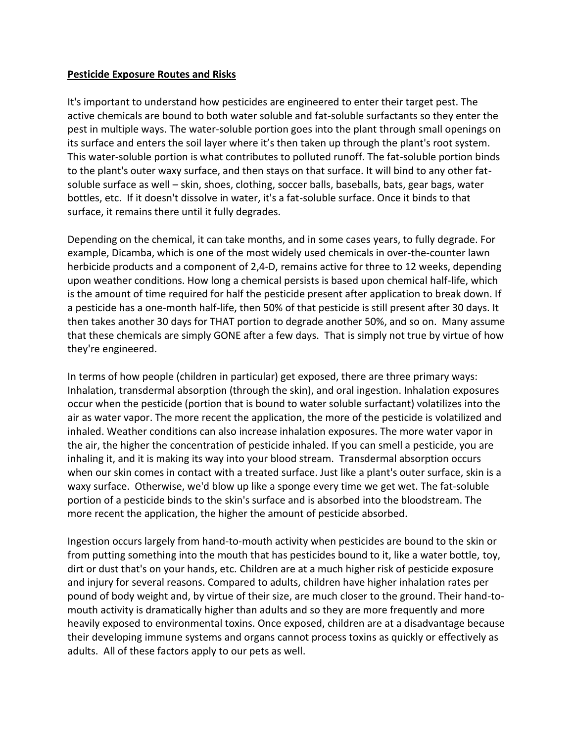## **Pesticide Exposure Routes and Risks**

It's important to understand how pesticides are engineered to enter their target pest. The active chemicals are bound to both water soluble and fat-soluble surfactants so they enter the pest in multiple ways. The water-soluble portion goes into the plant through small openings on its surface and enters the soil layer where it's then taken up through the plant's root system. This water-soluble portion is what contributes to polluted runoff. The fat-soluble portion binds to the plant's outer waxy surface, and then stays on that surface. It will bind to any other fatsoluble surface as well – skin, shoes, clothing, soccer balls, baseballs, bats, gear bags, water bottles, etc. If it doesn't dissolve in water, it's a fat-soluble surface. Once it binds to that surface, it remains there until it fully degrades.

Depending on the chemical, it can take months, and in some cases years, to fully degrade. For example, Dicamba, which is one of the most widely used chemicals in over-the-counter lawn herbicide products and a component of 2,4-D, remains active for three to 12 weeks, depending upon weather conditions. How long a chemical persists is based upon chemical half-life, which is the amount of time required for half the pesticide present after application to break down. If a pesticide has a one-month half-life, then 50% of that pesticide is still present after 30 days. It then takes another 30 days for THAT portion to degrade another 50%, and so on. Many assume that these chemicals are simply GONE after a few days. That is simply not true by virtue of how they're engineered.

In terms of how people (children in particular) get exposed, there are three primary ways: Inhalation, transdermal absorption (through the skin), and oral ingestion. Inhalation exposures occur when the pesticide (portion that is bound to water soluble surfactant) volatilizes into the air as water vapor. The more recent the application, the more of the pesticide is volatilized and inhaled. Weather conditions can also increase inhalation exposures. The more water vapor in the air, the higher the concentration of pesticide inhaled. If you can smell a pesticide, you are inhaling it, and it is making its way into your blood stream. Transdermal absorption occurs when our skin comes in contact with a treated surface. Just like a plant's outer surface, skin is a waxy surface. Otherwise, we'd blow up like a sponge every time we get wet. The fat-soluble portion of a pesticide binds to the skin's surface and is absorbed into the bloodstream. The more recent the application, the higher the amount of pesticide absorbed.

Ingestion occurs largely from hand-to-mouth activity when pesticides are bound to the skin or from putting something into the mouth that has pesticides bound to it, like a water bottle, toy, dirt or dust that's on your hands, etc. Children are at a much higher risk of pesticide exposure and injury for several reasons. Compared to adults, children have higher inhalation rates per pound of body weight and, by virtue of their size, are much closer to the ground. Their hand-tomouth activity is dramatically higher than adults and so they are more frequently and more heavily exposed to environmental toxins. Once exposed, children are at a disadvantage because their developing immune systems and organs cannot process toxins as quickly or effectively as adults. All of these factors apply to our pets as well.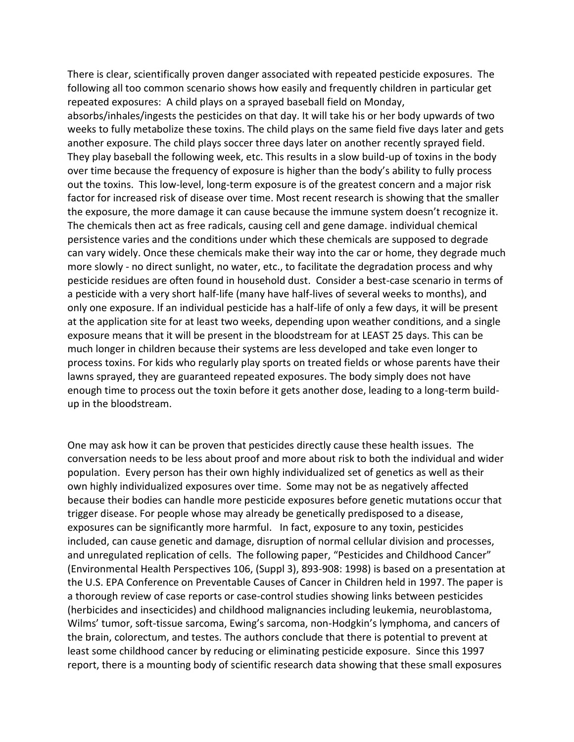There is clear, scientifically proven danger associated with repeated pesticide exposures. The following all too common scenario shows how easily and frequently children in particular get repeated exposures: A child plays on a sprayed baseball field on Monday,

absorbs/inhales/ingests the pesticides on that day. It will take his or her body upwards of two weeks to fully metabolize these toxins. The child plays on the same field five days later and gets another exposure. The child plays soccer three days later on another recently sprayed field. They play baseball the following week, etc. This results in a slow build-up of toxins in the body over time because the frequency of exposure is higher than the body's ability to fully process out the toxins. This low-level, long-term exposure is of the greatest concern and a major risk factor for increased risk of disease over time. Most recent research is showing that the smaller the exposure, the more damage it can cause because the immune system doesn't recognize it. The chemicals then act as free radicals, causing cell and gene damage. individual chemical persistence varies and the conditions under which these chemicals are supposed to degrade can vary widely. Once these chemicals make their way into the car or home, they degrade much more slowly - no direct sunlight, no water, etc., to facilitate the degradation process and why pesticide residues are often found in household dust. Consider a best-case scenario in terms of a pesticide with a very short half-life (many have half-lives of several weeks to months), and only one exposure. If an individual pesticide has a half-life of only a few days, it will be present at the application site for at least two weeks, depending upon weather conditions, and a single exposure means that it will be present in the bloodstream for at LEAST 25 days. This can be much longer in children because their systems are less developed and take even longer to process toxins. For kids who regularly play sports on treated fields or whose parents have their lawns sprayed, they are guaranteed repeated exposures. The body simply does not have enough time to process out the toxin before it gets another dose, leading to a long-term buildup in the bloodstream.

One may ask how it can be proven that pesticides directly cause these health issues. The conversation needs to be less about proof and more about risk to both the individual and wider population. Every person has their own highly individualized set of genetics as well as their own highly individualized exposures over time. Some may not be as negatively affected because their bodies can handle more pesticide exposures before genetic mutations occur that trigger disease. For people whose may already be genetically predisposed to a disease, exposures can be significantly more harmful. In fact, exposure to any toxin, pesticides included, can cause genetic and damage, disruption of normal cellular division and processes, and unregulated replication of cells. The following paper, "Pesticides and Childhood Cancer" (Environmental Health Perspectives 106, (Suppl 3), 893-908: 1998) is based on a presentation at the U.S. EPA Conference on Preventable Causes of Cancer in Children held in 1997. The paper is a thorough review of case reports or case-control studies showing links between pesticides (herbicides and insecticides) and childhood malignancies including leukemia, neuroblastoma, Wilms' tumor, soft-tissue sarcoma, Ewing's sarcoma, non-Hodgkin's lymphoma, and cancers of the brain, colorectum, and testes. The authors conclude that there is potential to prevent at least some childhood cancer by reducing or eliminating pesticide exposure. Since this 1997 report, there is a mounting body of scientific research data showing that these small exposures